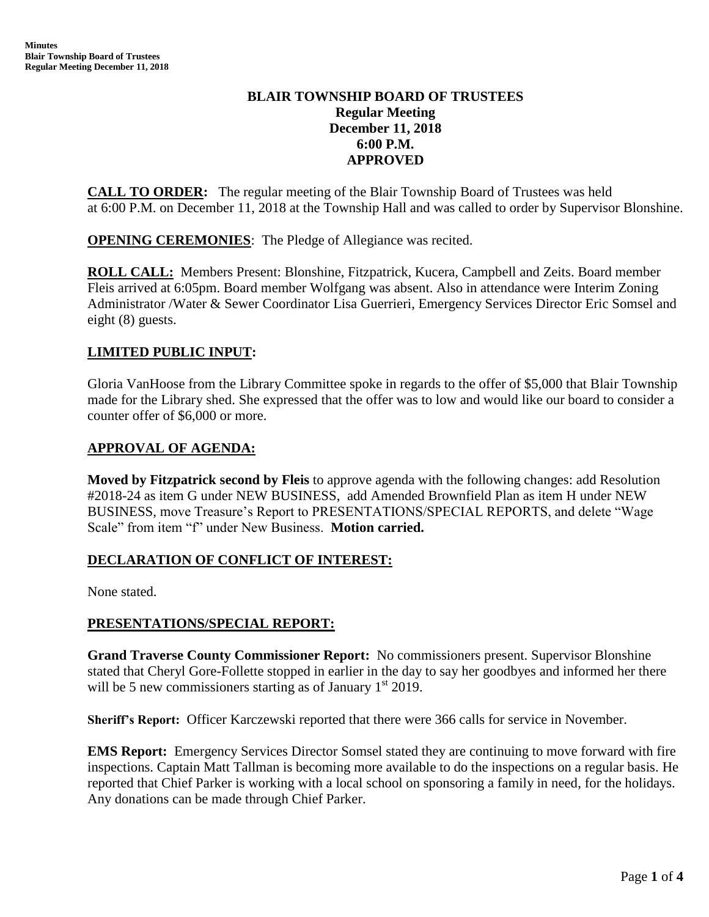## **BLAIR TOWNSHIP BOARD OF TRUSTEES Regular Meeting December 11, 2018 6:00 P.M. APPROVED**

**CALL TO ORDER:** The regular meeting of the Blair Township Board of Trustees was held at 6:00 P.M. on December 11, 2018 at the Township Hall and was called to order by Supervisor Blonshine.

**OPENING CEREMONIES**: The Pledge of Allegiance was recited.

**ROLL CALL:** Members Present: Blonshine, Fitzpatrick, Kucera, Campbell and Zeits. Board member Fleis arrived at 6:05pm. Board member Wolfgang was absent. Also in attendance were Interim Zoning Administrator /Water & Sewer Coordinator Lisa Guerrieri, Emergency Services Director Eric Somsel and eight (8) guests.

### **LIMITED PUBLIC INPUT:**

Gloria VanHoose from the Library Committee spoke in regards to the offer of \$5,000 that Blair Township made for the Library shed. She expressed that the offer was to low and would like our board to consider a counter offer of \$6,000 or more.

#### **APPROVAL OF AGENDA:**

**Moved by Fitzpatrick second by Fleis** to approve agenda with the following changes: add Resolution #2018-24 as item G under NEW BUSINESS, add Amended Brownfield Plan as item H under NEW BUSINESS, move Treasure's Report to PRESENTATIONS/SPECIAL REPORTS, and delete "Wage Scale" from item "f" under New Business. **Motion carried.**

#### **DECLARATION OF CONFLICT OF INTEREST:**

None stated.

#### **PRESENTATIONS/SPECIAL REPORT:**

**Grand Traverse County Commissioner Report:** No commissioners present. Supervisor Blonshine stated that Cheryl Gore-Follette stopped in earlier in the day to say her goodbyes and informed her there will be 5 new commissioners starting as of January  $1<sup>st</sup> 2019$ .

**Sheriff's Report:** Officer Karczewski reported that there were 366 calls for service in November.

**EMS Report:** Emergency Services Director Somsel stated they are continuing to move forward with fire inspections. Captain Matt Tallman is becoming more available to do the inspections on a regular basis. He reported that Chief Parker is working with a local school on sponsoring a family in need, for the holidays. Any donations can be made through Chief Parker.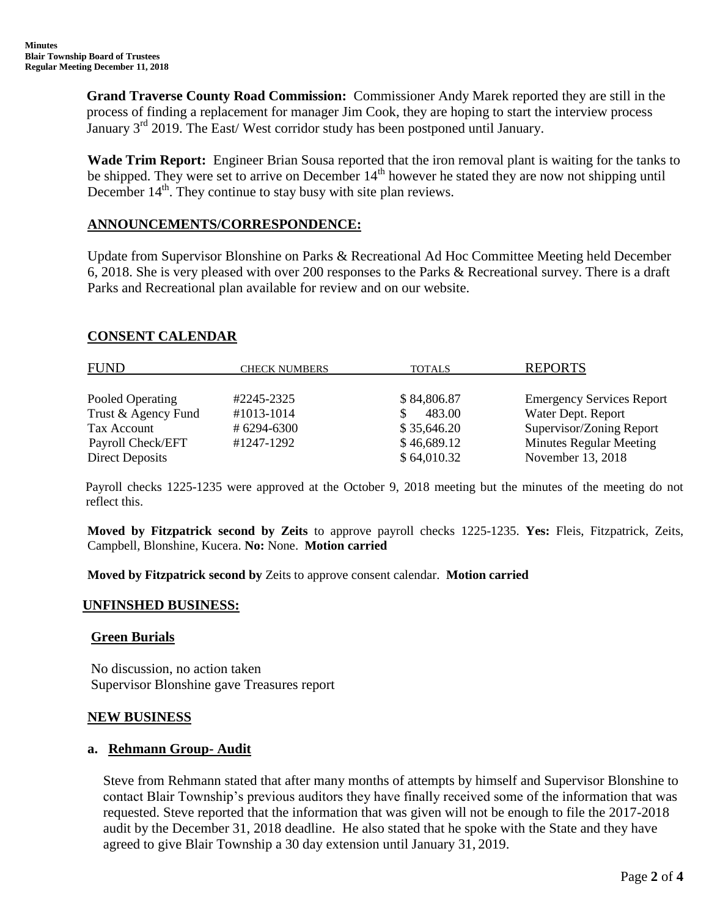**Grand Traverse County Road Commission:** Commissioner Andy Marek reported they are still in the process of finding a replacement for manager Jim Cook, they are hoping to start the interview process January  $3<sup>rd</sup>$  2019. The East/West corridor study has been postponed until January.

**Wade Trim Report:** Engineer Brian Sousa reported that the iron removal plant is waiting for the tanks to be shipped. They were set to arrive on December 14<sup>th</sup> however he stated they are now not shipping until December  $14<sup>th</sup>$ . They continue to stay busy with site plan reviews.

### **ANNOUNCEMENTS/CORRESPONDENCE:**

Update from Supervisor Blonshine on Parks & Recreational Ad Hoc Committee Meeting held December 6, 2018. She is very pleased with over 200 responses to the Parks & Recreational survey. There is a draft Parks and Recreational plan available for review and on our website.

### **CONSENT CALENDAR**

| <b>FUND</b>            | <b>CHECK NUMBERS</b> | <b>TOTALS</b> | <b>REPORTS</b>                   |
|------------------------|----------------------|---------------|----------------------------------|
| Pooled Operating       | #2245-2325           | \$84,806.87   | <b>Emergency Services Report</b> |
| Trust & Agency Fund    | #1013-1014           | 483.00        | Water Dept. Report               |
| Tax Account            | #6294-6300           | \$35,646.20   | Supervisor/Zoning Report         |
| Payroll Check/EFT      | #1247-1292           | \$46,689.12   | <b>Minutes Regular Meeting</b>   |
| <b>Direct Deposits</b> |                      | \$64,010.32   | November 13, 2018                |

 Payroll checks 1225-1235 were approved at the October 9, 2018 meeting but the minutes of the meeting do not reflect this.

**Moved by Fitzpatrick second by Zeits** to approve payroll checks 1225-1235. **Yes:** Fleis, Fitzpatrick, Zeits, Campbell, Blonshine, Kucera. **No:** None. **Motion carried**

**Moved by Fitzpatrick second by** Zeits to approve consent calendar. **Motion carried**

# **UNFINSHED BUSINESS:**

#### **Green Burials**

 No discussion, no action taken Supervisor Blonshine gave Treasures report

#### **NEW BUSINESS**

#### **a. Rehmann Group- Audit**

Steve from Rehmann stated that after many months of attempts by himself and Supervisor Blonshine to contact Blair Township's previous auditors they have finally received some of the information that was requested. Steve reported that the information that was given will not be enough to file the 2017-2018 audit by the December 31, 2018 deadline. He also stated that he spoke with the State and they have agreed to give Blair Township a 30 day extension until January 31, 2019.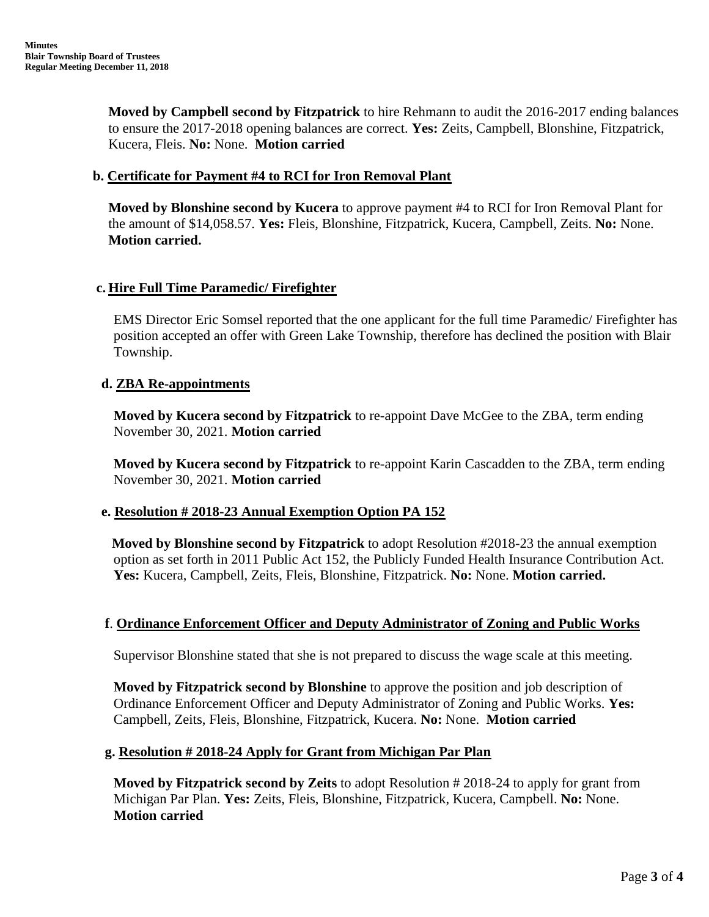**Moved by Campbell second by Fitzpatrick** to hire Rehmann to audit the 2016-2017 ending balances to ensure the 2017-2018 opening balances are correct. **Yes:** Zeits, Campbell, Blonshine, Fitzpatrick, Kucera, Fleis. **No:** None. **Motion carried**

## **b. Certificate for Payment #4 to RCI for Iron Removal Plant**

**Moved by Blonshine second by Kucera** to approve payment #4 to RCI for Iron Removal Plant for the amount of \$14,058.57. **Yes:** Fleis, Blonshine, Fitzpatrick, Kucera, Campbell, Zeits. **No:** None. **Motion carried.** 

#### **c. Hire Full Time Paramedic/ Firefighter**

EMS Director Eric Somsel reported that the one applicant for the full time Paramedic/ Firefighter has position accepted an offer with Green Lake Township, therefore has declined the position with Blair Township.

#### **d. ZBA Re-appointments**

**Moved by Kucera second by Fitzpatrick** to re-appoint Dave McGee to the ZBA, term ending November 30, 2021. **Motion carried**

**Moved by Kucera second by Fitzpatrick** to re-appoint Karin Cascadden to the ZBA, term ending November 30, 2021. **Motion carried**

#### **e. Resolution # 2018-23 Annual Exemption Option PA 152**

**Moved by Blonshine second by Fitzpatrick** to adopt Resolution #2018-23 the annual exemption option as set forth in 2011 Public Act 152, the Publicly Funded Health Insurance Contribution Act. **Yes:** Kucera, Campbell, Zeits, Fleis, Blonshine, Fitzpatrick. **No:** None. **Motion carried.**

# **f**. **Ordinance Enforcement Officer and Deputy Administrator of Zoning and Public Works**

Supervisor Blonshine stated that she is not prepared to discuss the wage scale at this meeting.

**Moved by Fitzpatrick second by Blonshine** to approve the position and job description of Ordinance Enforcement Officer and Deputy Administrator of Zoning and Public Works. **Yes:** Campbell, Zeits, Fleis, Blonshine, Fitzpatrick, Kucera. **No:** None. **Motion carried**

#### **g. Resolution # 2018-24 Apply for Grant from Michigan Par Plan**

**Moved by Fitzpatrick second by Zeits** to adopt Resolution # 2018-24 to apply for grant from Michigan Par Plan. **Yes:** Zeits, Fleis, Blonshine, Fitzpatrick, Kucera, Campbell. **No:** None. **Motion carried**